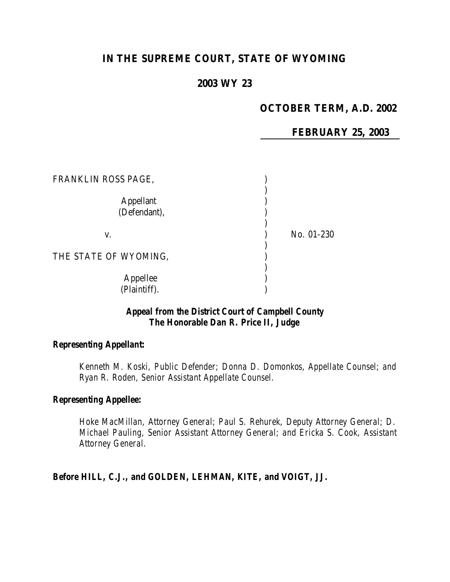# **IN THE SUPREME COURT, STATE OF WYOMING**

## **2003 WY 23**

## **OCTOBER TERM, A.D. 2002**

**FEBRUARY 25, 2003**

| FRANKLIN ROSS PAGE,              |            |
|----------------------------------|------------|
| <b>Appellant</b><br>(Defendant), |            |
| V.                               | No. 01-230 |
| THE STATE OF WYOMING,            |            |
| Appellee<br>(Plaintiff).         |            |

## *Appeal from the District Court of Campbell County The Honorable Dan R. Price II, Judge*

#### *Representing Appellant:*

*Kenneth M. Koski, Public Defender; Donna D. Domonkos, Appellate Counsel; and Ryan R. Roden, Senior Assistant Appellate Counsel.*

### *Representing Appellee:*

*Hoke MacMillan, Attorney General; Paul S. Rehurek, Deputy Attorney General; D. Michael Pauling, Senior Assistant Attorney General; and Ericka S. Cook, Assistant Attorney General.*

#### *Before HILL, C.J., and GOLDEN, LEHMAN, KITE, and VOIGT, JJ.*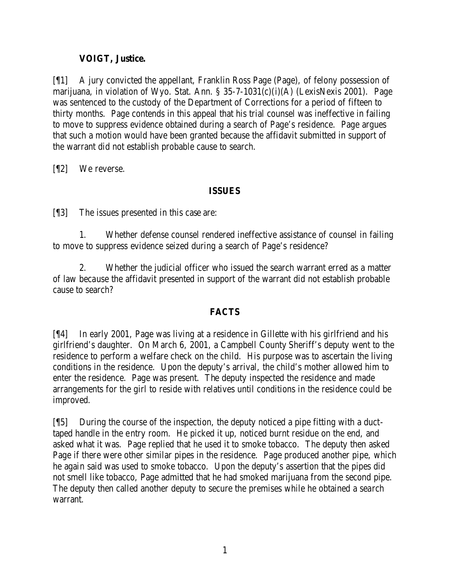## **VOIGT, Justice.**

[¶1] A jury convicted the appellant, Franklin Ross Page (Page), of felony possession of marijuana, in violation of Wyo. Stat. Ann. § 35-7-1031(c)(i)(A) (LexisNexis 2001). Page was sentenced to the custody of the Department of Corrections for a period of fifteen to thirty months. Page contends in this appeal that his trial counsel was ineffective in failing to move to suppress evidence obtained during a search of Page's residence. Page argues that such a motion would have been granted because the affidavit submitted in support of the warrant did not establish probable cause to search.

[¶2] We reverse.

## **ISSUES**

[¶3] The issues presented in this case are:

1. Whether defense counsel rendered ineffective assistance of counsel in failing to move to suppress evidence seized during a search of Page's residence?

2. Whether the judicial officer who issued the search warrant erred as a matter of law because the affidavit presented in support of the warrant did not establish probable cause to search?

## **FACTS**

[¶4] In early 2001, Page was living at a residence in Gillette with his girlfriend and his girlfriend's daughter. On March 6, 2001, a Campbell County Sheriff's deputy went to the residence to perform a welfare check on the child. His purpose was to ascertain the living conditions in the residence. Upon the deputy's arrival, the child's mother allowed him to enter the residence. Page was present. The deputy inspected the residence and made arrangements for the girl to reside with relatives until conditions in the residence could be improved.

[¶5] During the course of the inspection, the deputy noticed a pipe fitting with a ducttaped handle in the entry room. He picked it up, noticed burnt residue on the end, and asked what it was. Page replied that he used it to smoke tobacco. The deputy then asked Page if there were other similar pipes in the residence. Page produced another pipe, which he again said was used to smoke tobacco. Upon the deputy's assertion that the pipes did not smell like tobacco, Page admitted that he had smoked marijuana from the second pipe. The deputy then called another deputy to secure the premises while he obtained a search warrant.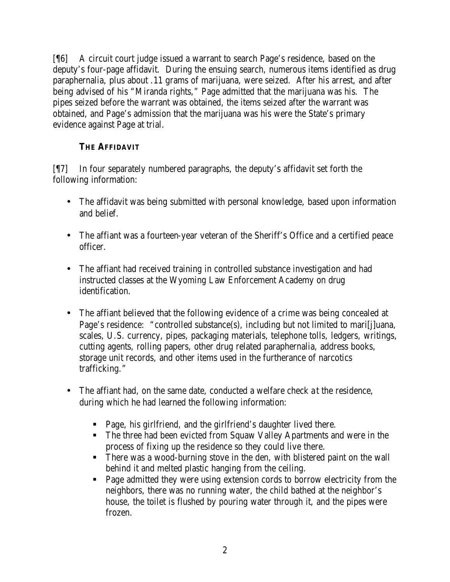[¶6] A circuit court judge issued a warrant to search Page's residence, based on the deputy's four-page affidavit. During the ensuing search, numerous items identified as drug paraphernalia, plus about .11 grams of marijuana, were seized. After his arrest, and after being advised of his "Miranda rights," Page admitted that the marijuana was his. The pipes seized before the warrant was obtained, the items seized after the warrant was obtained, and Page's admission that the marijuana was his were the State's primary evidence against Page at trial.

## **THE AFFIDAVIT**

[¶7] In four separately numbered paragraphs, the deputy's affidavit set forth the following information:

- The affidavit was being submitted with personal knowledge, based upon information and belief.
- The affiant was a fourteen-year veteran of the Sheriff's Office and a certified peace officer.
- The affiant had received training in controlled substance investigation and had instructed classes at the Wyoming Law Enforcement Academy on drug identification.
- The affiant believed that the following evidence of a crime was being concealed at Page's residence: "controlled substance(s), including but not limited to marifiluana, scales, U.S. currency, pipes, packaging materials, telephone tolls, ledgers, writings, cutting agents, rolling papers, other drug related paraphernalia, address books, storage unit records, and other items used in the furtherance of narcotics trafficking."
- The affiant had, on the same date, conducted a welfare check at the residence, during which he had learned the following information:
	- Page, his girlfriend, and the girlfriend's daughter lived there.
	- The three had been evicted from Squaw Valley Apartments and were in the process of fixing up the residence so they could live there.
	- There was a wood-burning stove in the den, with blistered paint on the wall behind it and melted plastic hanging from the ceiling.
	- Page admitted they were using extension cords to borrow electricity from the neighbors, there was no running water, the child bathed at the neighbor's house, the toilet is flushed by pouring water through it, and the pipes were frozen.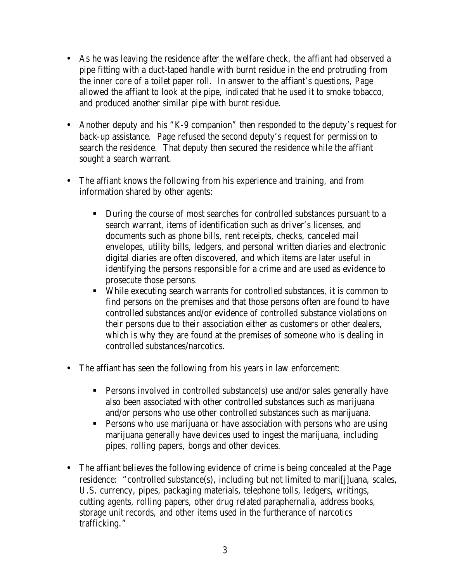- As he was leaving the residence after the welfare check, the affiant had observed a pipe fitting with a duct-taped handle with burnt residue in the end protruding from the inner core of a toilet paper roll. In answer to the affiant's questions, Page allowed the affiant to look at the pipe, indicated that he used it to smoke tobacco, and produced another similar pipe with burnt residue.
- Another deputy and his "K-9 companion" then responded to the deputy's request for back-up assistance. Page refused the second deputy's request for permission to search the residence. That deputy then secured the residence while the affiant sought a search warrant.
- The affiant knows the following from his experience and training, and from information shared by other agents:
	- During the course of most searches for controlled substances pursuant to a search warrant, items of identification such as driver's licenses, and documents such as phone bills, rent receipts, checks, canceled mail envelopes, utility bills, ledgers, and personal written diaries and electronic digital diaries are often discovered, and which items are later useful in identifying the persons responsible for a crime and are used as evidence to prosecute those persons.
	- While executing search warrants for controlled substances, it is common to find persons on the premises and that those persons often are found to have controlled substances and/or evidence of controlled substance violations on their persons due to their association either as customers or other dealers, which is why they are found at the premises of someone who is dealing in controlled substances/narcotics.
- The affiant has seen the following from his years in law enforcement:
	- Persons involved in controlled substance(s) use and/or sales generally have also been associated with other controlled substances such as marijuana and/or persons who use other controlled substances such as marijuana.
	- **•** Persons who use marijuana or have association with persons who are using marijuana generally have devices used to ingest the marijuana, including pipes, rolling papers, bongs and other devices.
- The affiant believes the following evidence of crime is being concealed at the Page residence: "controlled substance(s), including but not limited to marifiluana, scales, U.S. currency, pipes, packaging materials, telephone tolls, ledgers, writings, cutting agents, rolling papers, other drug related paraphernalia, address books, storage unit records, and other items used in the furtherance of narcotics trafficking."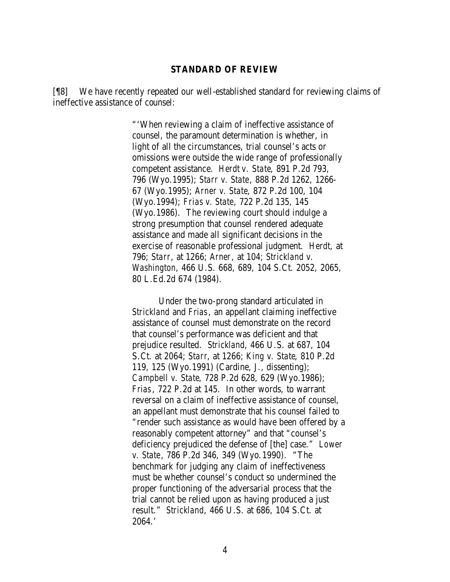#### **STANDARD OF REVIEW**

[¶8] We have recently repeated our well-established standard for reviewing claims of ineffective assistance of counsel:

> "'When reviewing a claim of ineffective assistance of counsel, the paramount determination is whether, in light of all the circumstances, trial counsel's acts or omissions were outside the wide range of professionally competent assistance. *Herdt v. State*, 891 P.2d 793, 796 (Wyo.1995); *Starr v. State*, 888 P.2d 1262, 1266- 67 (Wyo.1995); *Arner v. State*, 872 P.2d 100, 104 (Wyo.1994); *Frias v. State*, 722 P.2d 135, 145 (Wyo.1986). The reviewing court should indulge a strong presumption that counsel rendered adequate assistance and made all significant decisions in the exercise of reasonable professional judgment. *Herdt*, at 796; *Starr*, at 1266; *Arner*, at 104; *Strickland v. Washington*, 466 U.S. 668, 689, 104 S.Ct. 2052, 2065, 80 L.Ed.2d 674 (1984).

> Under the two-prong standard articulated in *Strickland* and *Frias*, an appellant claiming ineffective assistance of counsel must demonstrate on the record that counsel's performance was deficient and that prejudice resulted. *Strickland*, 466 U.S. at 687, 104 S.Ct. at 2064; *Starr*, at 1266; *King v. State*, 810 P.2d 119, 125 (Wyo.1991) (Cardine, J., dissenting); *Campbell v. State*, 728 P.2d 628, 629 (Wyo.1986); *Frias*, 722 P.2d at 145. In other words, to warrant reversal on a claim of ineffective assistance of counsel, an appellant must demonstrate that his counsel failed to "render such assistance as would have been offered by a reasonably competent attorney" and that "counsel's deficiency prejudiced the defense of [the] case." *Lower v. State*, 786 P.2d 346, 349 (Wyo.1990). "The benchmark for judging any claim of ineffectiveness must be whether counsel's conduct so undermined the proper functioning of the adversarial process that the trial cannot be relied upon as having produced a just result." *Strickland*, 466 U.S. at 686, 104 S.Ct. at 2064.'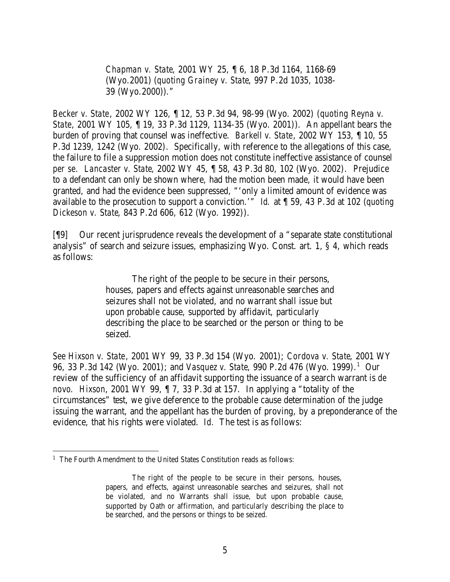*Chapman v. State*, 2001 WY 25, ¶ 6, 18 P.3d 1164, 1168-69 (Wyo.2001) (*quoting Grainey v. State*, 997 P.2d 1035, 1038- 39 (Wyo.2000))."

*Becker v. State*, 2002 WY 126, ¶ 12, 53 P.3d 94, 98-99 (Wyo. 2002) (*quoting Reyna v. State*, 2001 WY 105, ¶ 19, 33 P.3d 1129, 1134-35 (Wyo. 2001)). An appellant bears the burden of proving that counsel was ineffective. *Barkell v. State*, 2002 WY 153, ¶ 10, 55 P.3d 1239, 1242 (Wyo. 2002). Specifically, with reference to the allegations of this case, the failure to file a suppression motion does not constitute ineffective assistance of counsel *per se*. *Lancaster v. State*, 2002 WY 45, ¶ 58, 43 P.3d 80, 102 (Wyo. 2002). Prejudice to a defendant can only be shown where, had the motion been made, it would have been granted, and had the evidence been suppressed, "'only a limited amount of evidence was available to the prosecution to support a conviction.'" *Id.* at ¶ 59, 43 P.3d at 102 (*quoting Dickeson v. State*, 843 P.2d 606, 612 (Wyo. 1992)).

[¶9] Our recent jurisprudence reveals the development of a "separate state constitutional analysis" of search and seizure issues, emphasizing Wyo. Const. art. 1, § 4, which reads as follows:

> The right of the people to be secure in their persons, houses, papers and effects against unreasonable searches and seizures shall not be violated, and no warrant shall issue but upon probable cause, supported by affidavit, particularly describing the place to be searched or the person or thing to be seized.

*See Hixson v. State*, 2001 WY 99, 33 P.3d 154 (Wyo. 2001); *Cordova v. State*, 2001 WY 96, 33 P.3d 142 (Wyo. 2001); and *Vasquez v. State*, 990 P.2d 476 (Wyo. 1999). 1 Our review of the sufficiency of an affidavit supporting the issuance of a search warrant is *de novo*. *Hixson*, 2001 WY 99, ¶ 7, 33 P.3d at 157. In applying a "totality of the circumstances" test, we give deference to the probable cause determination of the judge issuing the warrant, and the appellant has the burden of proving, by a preponderance of the evidence, that his rights were violated. *Id.* The test is as follows:

<sup>&</sup>lt;sup>1</sup> The Fourth Amendment to the United States Constitution reads as follows:

The right of the people to be secure in their persons, houses, papers, and effects, against unreasonable searches and seizures, shall not be violated, and no Warrants shall issue, but upon probable cause, supported by Oath or affirmation, and particularly describing the place to be searched, and the persons or things to be seized.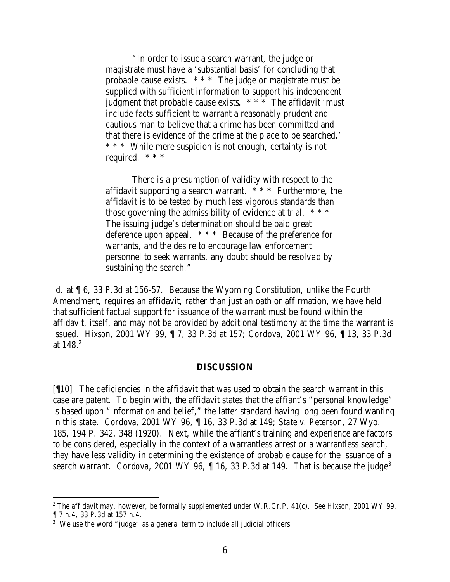"In order to issue a search warrant, the judge or magistrate must have a 'substantial basis' for concluding that probable cause exists. \* \* \* The judge or magistrate must be supplied with sufficient information to support his independent judgment that probable cause exists.  $* * *$  The affidavit 'must include facts sufficient to warrant a reasonably prudent and cautious man to believe that a crime has been committed and that there is evidence of the crime at the place to be searched.' \* \* \* While mere suspicion is not enough, certainty is not required. \* \* \*

There is a presumption of validity with respect to the affidavit supporting a search warrant. \* \* \* Furthermore, the affidavit is to be tested by much less vigorous standards than those governing the admissibility of evidence at trial.  $***$ The issuing judge's determination should be paid great deference upon appeal. \* \* \* Because of the preference for warrants, and the desire to encourage law enforcement personnel to seek warrants, any doubt should be resolved by sustaining the search."

*Id.* at  $\llbracket 6, 33 \rbrack$  *P.3d at 156-57.* Because the Wyoming Constitution, unlike the Fourth Amendment, requires an affidavit, rather than just an oath or affirmation, we have held that sufficient factual support for issuance of the wa rrant must be found within the affidavit, itself, and may not be provided by additional testimony at the time the warrant is issued. *Hixson*, 2001 WY 99, ¶ 7, 33 P.3d at 157; *Cordova*, 2001 WY 96, ¶ 13, 33 P.3d at 148. $^2$ 

#### **DISCUSSION**

[¶10] The deficiencies in the affidavit that was used to obtain the search warrant in this case are patent. To begin with, the affidavit states that the affiant's "personal knowledge" is based upon "information and belief," the latter standard having long been found wanting in this state. *Cordova*, 2001 WY 96, ¶ 16, 33 P.3d at 149; *State v. Peterson*, 27 Wyo. 185, 194 P. 342, 348 (1920). Next, while the affiant's training and experience are factors to be considered, especially in the context of a warrantless arrest or a warrantless search, they have less validity in determining the existence of probable cause for the issuance of a search warrant. *Cordova*, 2001 WY 96, 16, 33 P.3d at 149. That is because the judge<sup>3</sup>

<sup>2</sup> The affidavit may, however, be formally supplemented under W.R.Cr.P. 41(c). *See Hixson*, 2001 WY 99, ¶ 7 n.4, 33 P.3d at 157 n.4.

<sup>&</sup>lt;sup>3</sup> We use the word "judge" as a general term to include all judicial officers.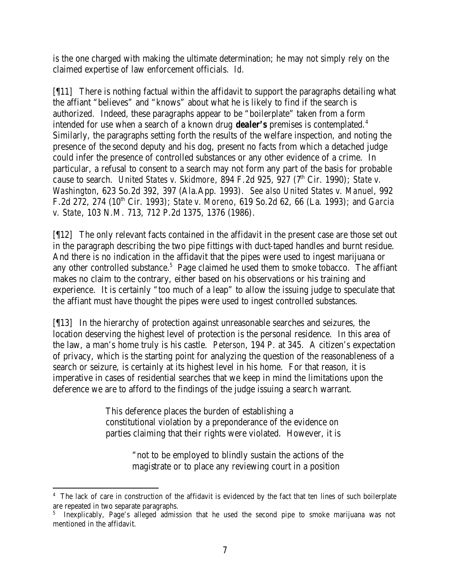is the one charged with making the ultimate determination; he may not simply rely on the claimed expertise of law enforcement officials. *Id.*

[¶11] There is nothing factual within the affidavit to support the paragraphs detailing what the affiant "believes" and "knows" about what he is likely to find if the search is authorized. Indeed, these paragraphs appear to be "boilerplate" taken from a form intended for use when a search of a known drug **dealer's** premises is contemplated.<sup>4</sup> Similarly, the paragraphs setting forth the results of the welfare inspection, and noting the presence of the second deputy and his dog, present no facts from which a detached judge could infer the presence of controlled substances or any other evidence of a crime. In particular, a refusal to consent to a search may not form any part of the basis for probable cause to search. *United States v. Skidmore*, 894 F.2d 925, 927 ( $7<sup>th</sup>$  Cir. 1990); *State v. Washington*, 623 So.2d 392, 397 (Ala.App. 1993). *See also United States v. Manuel*, 992 F.2d 272, 274 (10th Cir. 1993); *State v. Moreno*, 619 So.2d 62, 66 (La. 1993); and *Garcia v. State*, 103 N.M. 713, 712 P.2d 1375, 1376 (1986).

[¶12] The only relevant facts contained in the affidavit in the present case are those set out in the paragraph describing the two pipe fittings with duct-taped handles and burnt residue. And there is no indication in the affidavit that the pipes were used to ingest marijuana or any other controlled substance.<sup>5</sup> Page claimed he used them to smoke tobacco. The affiant makes no claim to the contrary, either based on his observations or his training and experience. It is certainly "too much of a leap" to allow the issuing judge to speculate that the affiant must have thought the pipes were used to ingest controlled substances.

[¶13] In the hierarchy of protection against unreasonable searches and seizures, the location deserving the highest level of protection is the personal residence. In this area of the law, a man's home truly is his castle. *Peterson*, 194 P. at 345. A citizen's expectation of privacy, which is the starting point for analyzing the question of the reasonableness of a search or seizure, is certainly at its highest level in his home. For that reason, it is imperative in cases of residential searches that we keep in mind the limitations upon the deference we are to afford to the findings of the judge issuing a search warrant.

> This deference places the burden of establishing a constitutional violation by a preponderance of the evidence on parties claiming that their rights were violated. However, it is

> > "not to be employed to blindly sustain the actions of the magistrate or to place any reviewing court in a position

 <sup>4</sup> The lack of care in construction of the affidavit is evidenced by the fact that ten lines of such boilerplate are repeated in two separate paragraphs.

<sup>5</sup> Inexplicably, Page's alleged admission that he used the second pipe to smoke marijuana was not mentioned in the affidavit.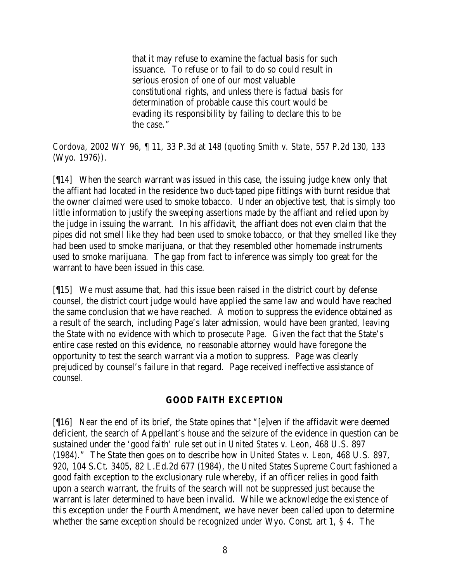that it may refuse to examine the factual basis for such issuance. To refuse or to fail to do so could result in serious erosion of one of our most valuable constitutional rights, and unless there is factual basis for determination of probable cause this court would be evading its responsibility by failing to declare this to be the case."

*Cordova*, 2002 WY 96, ¶ 11, 33 P.3d at 148 (*quoting Smith v. State*, 557 P.2d 130, 133 (Wyo. 1976)).

[¶14] When the search warrant was issued in this case, the issuing judge knew only that the affiant had located in the residence two duct-taped pipe fittings with burnt residue that the owner claimed were used to smoke tobacco. Under an objective test, that is simply too little information to justify the sweeping assertions made by the affiant and relied upon by the judge in issuing the warrant. In his affidavit, the affiant does not even claim that the pipes did not smell like they had been used to smoke tobacco, or that they smelled like they had been used to smoke marijuana, or that they resembled other homemade instruments used to smoke marijuana. The gap from fact to inference was simply too great for the warrant to have been issued in this case.

[¶15] We must assume that, had this issue been raised in the district court by defense counsel, the district court judge would have applied the same law and would have reached the same conclusion that we have reached. A motion to suppress the evidence obtained as a result of the search, including Page's later admission, would have been granted, leaving the State with no evidence with which to prosecute Page. Given the fact that the State's entire case rested on this evidence, no reasonable attorney would have foregone the opportunity to test the search warrant via a motion to suppress. Page was clearly prejudiced by counsel's failure in that regard. Page received ineffective assistance of counsel.

### **GOOD FAITH EXCEPTION**

[¶16] Near the end of its brief, the State opines that "[e]ven if the affidavit were deemed deficient, the search of Appellant's house and the seizure of the evidence in question can be sustained under the 'good faith' rule set out in *United States v. Leon*, 468 U.S. 897 (1984)." The State then goes on to describe how in *United States v. Leon*, 468 U.S. 897, 920, 104 S.Ct. 3405, 82 L.Ed.2d 677 (1984), the United States Supreme Court fashioned a good faith exception to the exclusionary rule whereby, if an officer relies in good faith upon a search warrant, the fruits of the search will not be suppressed just because the warrant is later determined to have been invalid. While we acknowledge the existence of this exception under the Fourth Amendment, we have never been called upon to determine whether the same exception should be recognized under Wyo. Const. art 1, § 4. The